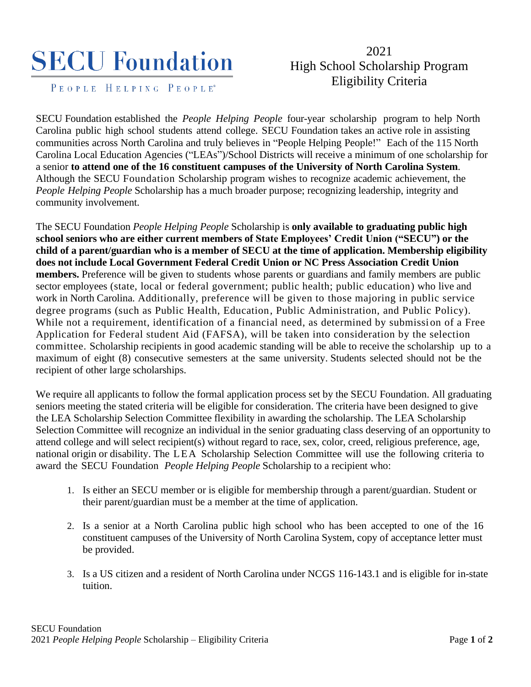## **SECU Foundation**

PEOPLE HELPING PEOPLE<sup>®</sup>

## 2021 High School Scholarship Program Eligibility Criteria

SECU Foundation established the *People Helping People* four-year scholarship program to help North Carolina public high school students attend college. SECU Foundation takes an active role in assisting communities across North Carolina and truly believes in "People Helping People!" Each of the 115 North Carolina Local Education Agencies ("LEAs")/School Districts will receive a minimum of one scholarship for a senior **to attend one of the 16 constituent campuses of the University of North Carolina System**. Although the SECU Foundation Scholarship program wishes to recognize academic achievement, the *People Helping People* Scholarship has a much broader purpose; recognizing leadership, integrity and community involvement.

The SECU Foundation *People Helping People* Scholarship is **only available to graduating public high school seniors who are either current members of State Employees' Credit Union ("SECU") or the child of a parent/guardian who is a member of SECU at the time of application. Membership eligibility does not include Local Government Federal Credit Union or NC Press Association Credit Union members.** Preference will be given to students whose parents or guardians and family members are public sector employees (state, local or federal government; public health; public education) who live and work in North Carolina. Additionally, preference will be given to those majoring in public service degree programs (such as Public Health, Education, Public Administration, and Public Policy). While not a requirement, identification of a financial need, as determined by submissi on of a Free Application for Federal student Aid (FAFSA), will be taken into consideration by the selection committee. Scholarship recipients in good academic standing will be able to receive the scholarship up to a maximum of eight (8) consecutive semesters at the same university. Students selected should not be the recipient of other large scholarships.

We require all applicants to follow the formal application process set by the SECU Foundation. All graduating seniors meeting the stated criteria will be eligible for consideration. The criteria have been designed to give the LEA Scholarship Selection Committee flexibility in awarding the scholarship. The LEA Scholarship Selection Committee will recognize an individual in the senior graduating class deserving of an opportunity to attend college and will select recipient(s) without regard to race, sex, color, creed, religious preference, age, national origin or disability. The LEA Scholarship Selection Committee will use the following criteria to award the SECU Foundation *People Helping People* Scholarship to a recipient who:

- 1. Is either an SECU member or is eligible for membership through a parent/guardian. Student or their parent/guardian must be a member at the time of application.
- 2. Is a senior at a North Carolina public high school who has been accepted to one of the 16 constituent campuses of the University of North Carolina System, copy of acceptance letter must be provided.
- 3. Is a US citizen and a resident of North Carolina under NCGS 116-143.1 and is eligible for in-state tuition.